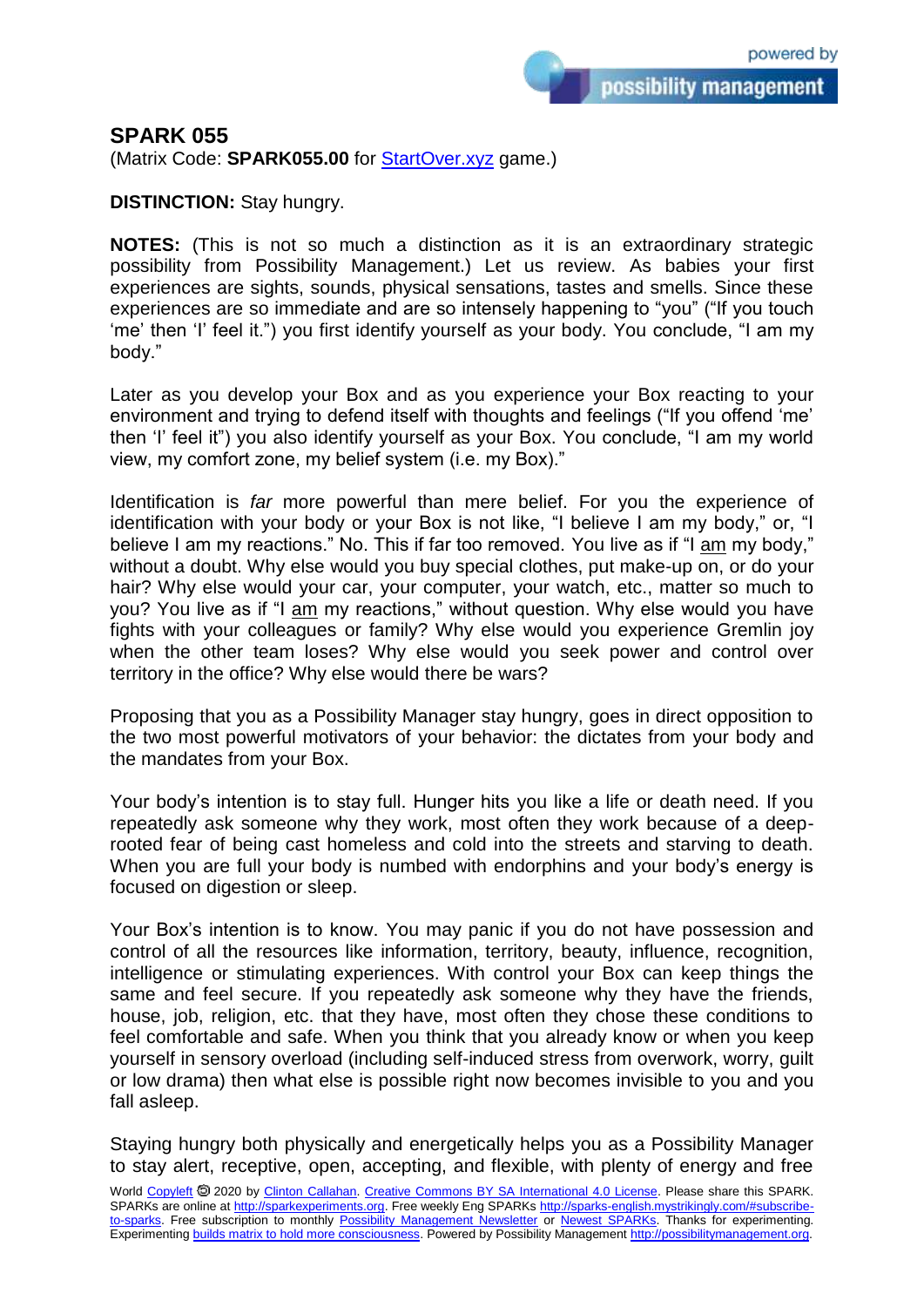## **SPARK 055**

(Matrix Code: **SPARK055.00** for [StartOver.xyz](https://startoverxyz.mystrikingly.com/) game.)

**DISTINCTION:** Stay hungry.

**NOTES:** (This is not so much a distinction as it is an extraordinary strategic possibility from Possibility Management.) Let us review. As babies your first experiences are sights, sounds, physical sensations, tastes and smells. Since these experiences are so immediate and are so intensely happening to "you" ("If you touch 'me' then 'I' feel it.") you first identify yourself as your body. You conclude, "I am my body."

Later as you develop your Box and as you experience your Box reacting to your environment and trying to defend itself with thoughts and feelings ("If you offend 'me' then 'I' feel it") you also identify yourself as your Box. You conclude, "I am my world view, my comfort zone, my belief system (i.e. my Box)."

Identification is *far* more powerful than mere belief. For you the experience of identification with your body or your Box is not like, "I believe I am my body," or, "I believe I am my reactions." No. This if far too removed. You live as if "I am my body," without a doubt. Why else would you buy special clothes, put make-up on, or do your hair? Why else would your car, your computer, your watch, etc., matter so much to you? You live as if "I am my reactions," without question. Why else would you have fights with your colleagues or family? Why else would you experience Gremlin joy when the other team loses? Why else would you seek power and control over territory in the office? Why else would there be wars?

Proposing that you as a Possibility Manager stay hungry, goes in direct opposition to the two most powerful motivators of your behavior: the dictates from your body and the mandates from your Box.

Your body's intention is to stay full. Hunger hits you like a life or death need. If you repeatedly ask someone why they work, most often they work because of a deeprooted fear of being cast homeless and cold into the streets and starving to death. When you are full your body is numbed with endorphins and your body's energy is focused on digestion or sleep.

Your Box's intention is to know. You may panic if you do not have possession and control of all the resources like information, territory, beauty, influence, recognition, intelligence or stimulating experiences. With control your Box can keep things the same and feel secure. If you repeatedly ask someone why they have the friends, house, job, religion, etc. that they have, most often they chose these conditions to feel comfortable and safe. When you think that you already know or when you keep yourself in sensory overload (including self-induced stress from overwork, worry, guilt or low drama) then what else is possible right now becomes invisible to you and you fall asleep.

Staying hungry both physically and energetically helps you as a Possibility Manager to stay alert, receptive, open, accepting, and flexible, with plenty of energy and free